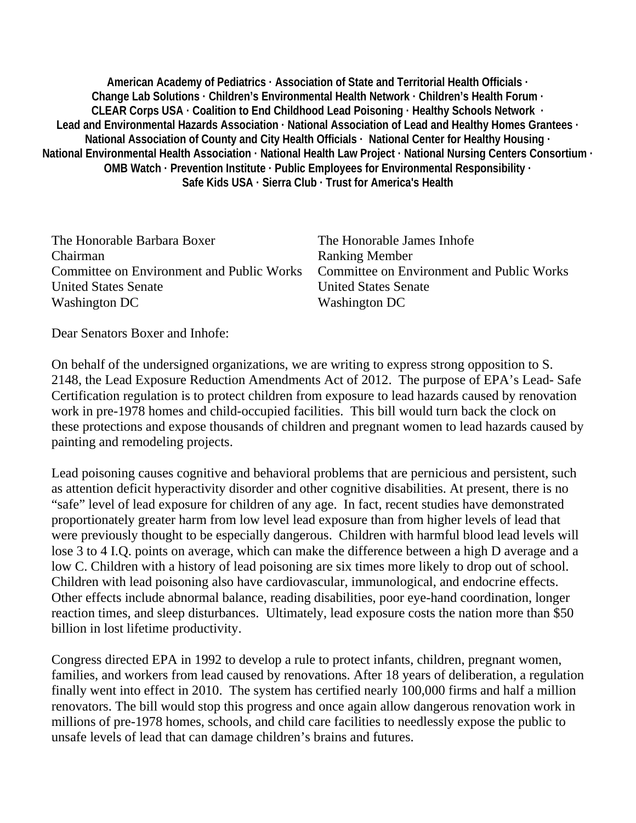**American Academy of Pediatrics · Association of State and Territorial Health Officials · Change Lab Solutions · Children's Environmental Health Network · Children's Health Forum · CLEAR Corps USA · Coalition to End Childhood Lead Poisoning · Healthy Schools Network · Lead and Environmental Hazards Association · National Association of Lead and Healthy Homes Grantees · National Association of County and City Health Officials · National Center for Healthy Housing · National Environmental Health Association · National Health Law Project · National Nursing Centers Consortium · OMB Watch · Prevention Institute · Public Employees for Environmental Responsibility · Safe Kids USA · Sierra Club · Trust for America's Health** 

| Committee on Environment and Public Works |
|-------------------------------------------|
|                                           |
|                                           |
|                                           |

Dear Senators Boxer and Inhofe:

On behalf of the undersigned organizations, we are writing to express strong opposition to S. 2148, the Lead Exposure Reduction Amendments Act of 2012. The purpose of EPA's Lead- Safe Certification regulation is to protect children from exposure to lead hazards caused by renovation work in pre-1978 homes and child-occupied facilities. This bill would turn back the clock on these protections and expose thousands of children and pregnant women to lead hazards caused by painting and remodeling projects.

Lead poisoning causes cognitive and behavioral problems that are pernicious and persistent, such as attention deficit hyperactivity disorder and other cognitive disabilities. At present, there is no "safe" level of lead exposure for children of any age. In fact, recent studies have demonstrated proportionately greater harm from low level lead exposure than from higher levels of lead that were previously thought to be especially dangerous. Children with harmful blood lead levels will lose 3 to 4 I.Q. points on average, which can make the difference between a high D average and a low C. Children with a history of lead poisoning are six times more likely to drop out of school. Children with lead poisoning also have cardiovascular, immunological, and endocrine effects. Other effects include abnormal balance, reading disabilities, poor eye-hand coordination, longer reaction times, and sleep disturbances. Ultimately, lead exposure costs the nation more than \$50 billion in lost lifetime productivity.

Congress directed EPA in 1992 to develop a rule to protect infants, children, pregnant women, families, and workers from lead caused by renovations. After 18 years of deliberation, a regulation finally went into effect in 2010. The system has certified nearly 100,000 firms and half a million renovators. The bill would stop this progress and once again allow dangerous renovation work in millions of pre-1978 homes, schools, and child care facilities to needlessly expose the public to unsafe levels of lead that can damage children's brains and futures.